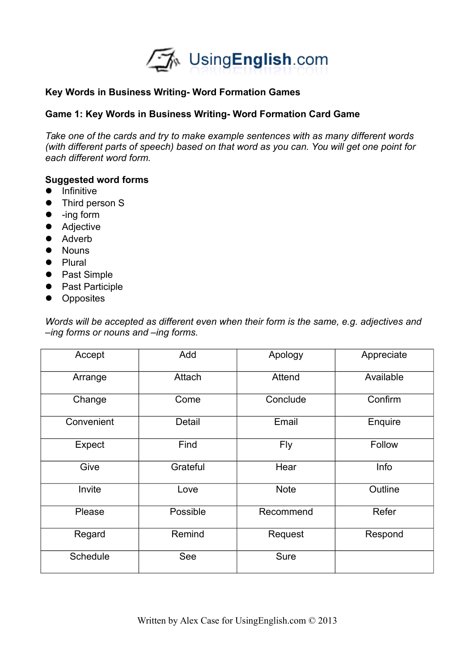

# **Key Words in Business Writing- Word Formation Games**

## **Game 1: Key Words in Business Writing- Word Formation Card Game**

*Take one of the cards and try to make example sentences with as many different words (with different parts of speech) based on that word as you can. You will get one point for each different word form.* 

# **Suggested word forms**

- $\bullet$  Infinitive
- Third person S
- -ing form
- Adjective
- Adverb
- Nouns
- Plural
- Past Simple
- Past Participle
- Opposites

*Words will be accepted as different even when their form is the same, e.g. adjectives and –ing forms or nouns and –ing forms.* 

| Accept          | Add      | Apology     | Appreciate |
|-----------------|----------|-------------|------------|
| Arrange         | Attach   | Attend      | Available  |
| Change          | Come     | Conclude    | Confirm    |
| Convenient      | Detail   | Email       | Enquire    |
| Expect          | Find     | <b>Fly</b>  | Follow     |
| Give            | Grateful | Hear        | Info       |
| Invite          | Love     | <b>Note</b> | Outline    |
| Please          | Possible | Recommend   | Refer      |
| Regard          | Remind   | Request     | Respond    |
| <b>Schedule</b> | See      | <b>Sure</b> |            |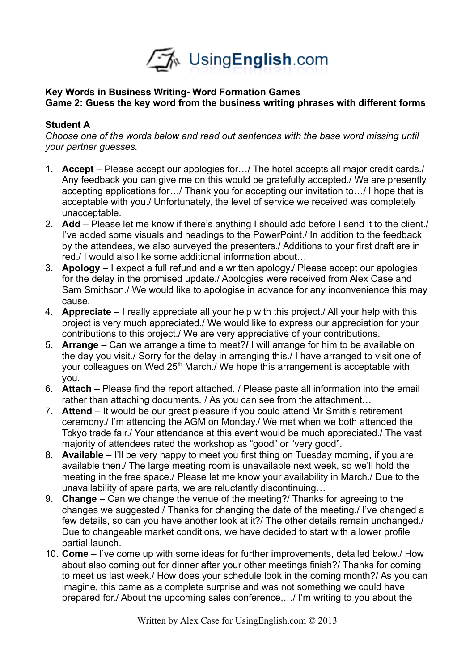

# **Key Words in Business Writing- Word Formation Games Game 2: Guess the key word from the business writing phrases with different forms**

## **Student A**

*Choose one of the words below and read out sentences with the base word missing until your partner guesses.*

- 1. **Accept**  Please accept our apologies for…/ The hotel accepts all major credit cards./ Any feedback you can give me on this would be gratefully accepted./ We are presently accepting applications for…/ Thank you for accepting our invitation to…/ I hope that is acceptable with you./ Unfortunately, the level of service we received was completely unacceptable.
- 2. **Add** Please let me know if there's anything I should add before I send it to the client./ I've added some visuals and headings to the PowerPoint./ In addition to the feedback by the attendees, we also surveyed the presenters./ Additions to your first draft are in red./ I would also like some additional information about…
- 3. **Apology**  I expect a full refund and a written apology./ Please accept our apologies for the delay in the promised update./ Apologies were received from Alex Case and Sam Smithson./ We would like to apologise in advance for any inconvenience this may cause.
- 4. **Appreciate**  I really appreciate all your help with this project./ All your help with this project is very much appreciated./ We would like to express our appreciation for your contributions to this project./ We are very appreciative of your contributions.
- 5. **Arrange**  Can we arrange a time to meet?**/** I will arrange for him to be available on the day you visit./ Sorry for the delay in arranging this./ I have arranged to visit one of your colleagues on Wed 25<sup>th</sup> March./ We hope this arrangement is acceptable with you.
- 6. **Attach**  Please find the report attached. / Please paste all information into the email rather than attaching documents. / As you can see from the attachment…
- 7. **Attend**  It would be our great pleasure if you could attend Mr Smith's retirement ceremony./ I'm attending the AGM on Monday./ We met when we both attended the Tokyo trade fair./ Your attendance at this event would be much appreciated./ The vast majority of attendees rated the workshop as "good" or "very good".
- 8. **Available**  I'll be very happy to meet you first thing on Tuesday morning, if you are available then./ The large meeting room is unavailable next week, so we'll hold the meeting in the free space./ Please let me know your availability in March./ Due to the unavailability of spare parts, we are reluctantly discontinuing…
- 9. **Change**  Can we change the venue of the meeting?/ Thanks for agreeing to the changes we suggested./ Thanks for changing the date of the meeting./ I've changed a few details, so can you have another look at it?/ The other details remain unchanged./ Due to changeable market conditions, we have decided to start with a lower profile partial launch.
- 10. **Come**  I've come up with some ideas for further improvements, detailed below./ How about also coming out for dinner after your other meetings finish?/ Thanks for coming to meet us last week./ How does your schedule look in the coming month?/ As you can imagine, this came as a complete surprise and was not something we could have prepared for./ About the upcoming sales conference,…/ I'm writing to you about the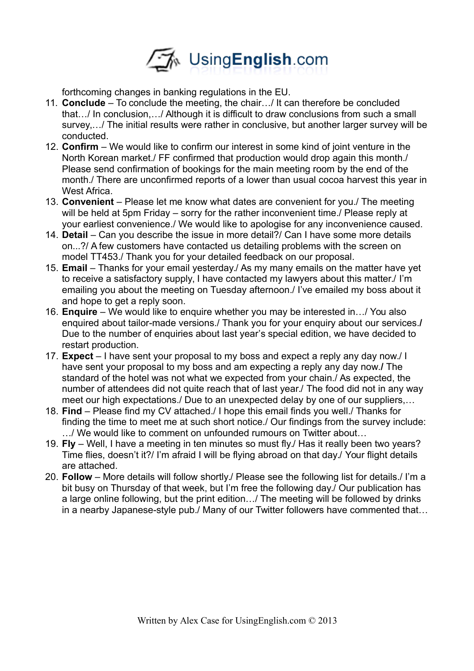

forthcoming changes in banking regulations in the EU.

- 11. **Conclude** To conclude the meeting, the chair…/ It can therefore be concluded that…/ In conclusion,…/ Although it is difficult to draw conclusions from such a small survey,…/ The initial results were rather in conclusive, but another larger survey will be conducted.
- 12. **Confirm**  We would like to confirm our interest in some kind of joint venture in the North Korean market./ FF confirmed that production would drop again this month./ Please send confirmation of bookings for the main meeting room by the end of the month./ There are unconfirmed reports of a lower than usual cocoa harvest this year in West Africa.
- 13. **Convenient**  Please let me know what dates are convenient for you./ The meeting will be held at 5pm Friday – sorry for the rather inconvenient time./ Please reply at your earliest convenience./ We would like to apologise for any inconvenience caused.
- 14. **Detail** Can you describe the issue in more detail?/ Can I have some more details on...?/ A few customers have contacted us detailing problems with the screen on model TT453./ Thank you for your detailed feedback on our proposal.
- 15. **Email** Thanks for your email yesterday./ As my many emails on the matter have yet to receive a satisfactory supply, I have contacted my lawyers about this matter./ I'm emailing you about the meeting on Tuesday afternoon./ I've emailed my boss about it and hope to get a reply soon.
- 16. **Enquire**  We would like to enquire whether you may be interested in…/ You also enquired about tailor-made versions./ Thank you for your enquiry about our services.**/**  Due to the number of enquiries about last year's special edition, we have decided to restart production.
- 17. **Expect**  I have sent your proposal to my boss and expect a reply any day now./ I have sent your proposal to my boss and am expecting a reply any day now.**/** The standard of the hotel was not what we expected from your chain./ As expected, the number of attendees did not quite reach that of last year./ The food did not in any way meet our high expectations./ Due to an unexpected delay by one of our suppliers,…
- 18. **Find**  Please find my CV attached./ I hope this email finds you well./ Thanks for finding the time to meet me at such short notice./ Our findings from the survey include: …/ We would like to comment on unfounded rumours on Twitter about…
- 19. **Fly**  Well, I have a meeting in ten minutes so must fly./ Has it really been two years? Time flies, doesn't it?/ I'm afraid I will be flying abroad on that day./ Your flight details are attached.
- 20. **Follow** More details will follow shortly./ Please see the following list for details./ I'm a bit busy on Thursday of that week, but I'm free the following day./ Our publication has a large online following, but the print edition…/ The meeting will be followed by drinks in a nearby Japanese-style pub./ Many of our Twitter followers have commented that…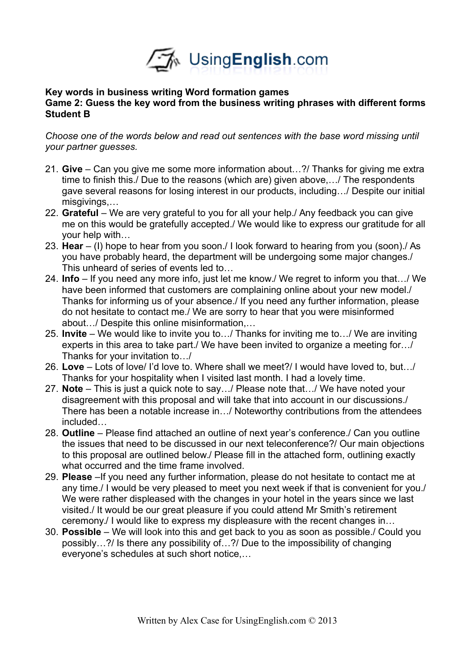

#### **Key words in business writing Word formation games Game 2: Guess the key word from the business writing phrases with different forms Student B**

*Choose one of the words below and read out sentences with the base word missing until your partner guesses.*

- 21. **Give**  Can you give me some more information about…?/ Thanks for giving me extra time to finish this./ Due to the reasons (which are) given above,…/ The respondents gave several reasons for losing interest in our products, including…/ Despite our initial misgivings,…
- 22. **Grateful** We are very grateful to you for all your help./ Any feedback you can give me on this would be gratefully accepted./ We would like to express our gratitude for all your help with…
- 23. **Hear** (I) hope to hear from you soon./ I look forward to hearing from you (soon)./ As you have probably heard, the department will be undergoing some major changes./ This unheard of series of events led to…
- 24. **Info** If you need any more info, just let me know./ We regret to inform you that…/ We have been informed that customers are complaining online about your new model./ Thanks for informing us of your absence./ If you need any further information, please do not hesitate to contact me./ We are sorry to hear that you were misinformed about…/ Despite this online misinformation,…
- 25. **Invite**  We would like to invite you to…/ Thanks for inviting me to…/ We are inviting experts in this area to take part./ We have been invited to organize a meeting for…/ Thanks for your invitation to…/
- 26. **Love** Lots of love/ I'd love to. Where shall we meet?/ I would have loved to, but…/ Thanks for your hospitality when I visited last month. I had a lovely time.
- 27. **Note** This is just a quick note to say…/ Please note that…/ We have noted your disagreement with this proposal and will take that into account in our discussions./ There has been a notable increase in…/ Noteworthy contributions from the attendees included…
- 28. **Outline** Please find attached an outline of next year's conference./ Can you outline the issues that need to be discussed in our next teleconference?/ Our main objections to this proposal are outlined below./ Please fill in the attached form, outlining exactly what occurred and the time frame involved.
- 29. **Please** –If you need any further information, please do not hesitate to contact me at any time./ I would be very pleased to meet you next week if that is convenient for you./ We were rather displeased with the changes in your hotel in the years since we last visited./ It would be our great pleasure if you could attend Mr Smith's retirement ceremony./ I would like to express my displeasure with the recent changes in…
- 30. **Possible** We will look into this and get back to you as soon as possible./ Could you possibly…?/ Is there any possibility of…?/ Due to the impossibility of changing everyone's schedules at such short notice,…